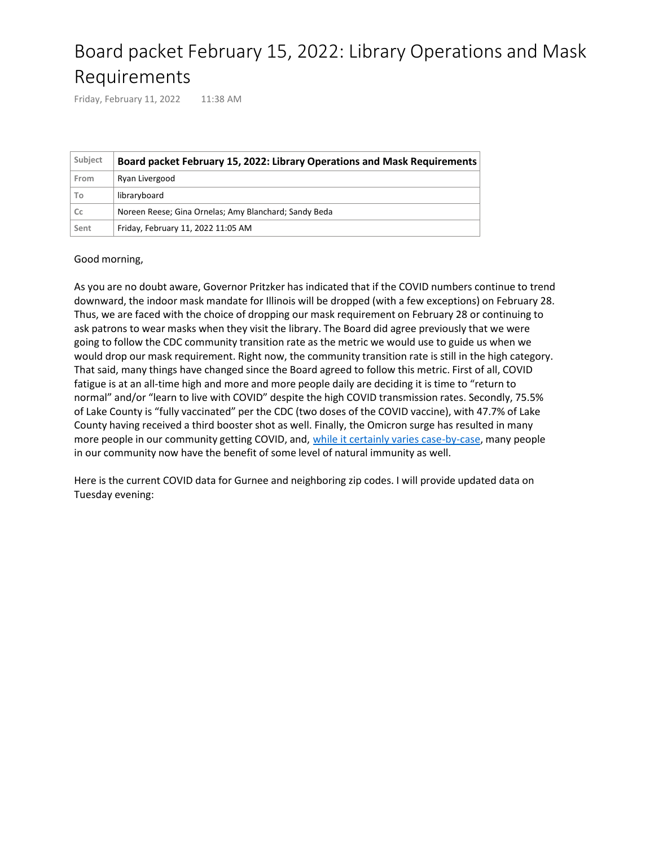## Board packet February 15, 2022: Library Operations and Mask Requirements

Friday, February 11, 2022 11:38 AM

| Subject | Board packet February 15, 2022: Library Operations and Mask Requirements |
|---------|--------------------------------------------------------------------------|
| From    | Ryan Livergood                                                           |
| To      | libraryboard                                                             |
| Cc      | Noreen Reese; Gina Ornelas; Amy Blanchard; Sandy Beda                    |
| Sent    | Friday, February 11, 2022 11:05 AM                                       |

## Good morning,

As you are no doubt aware, Governor Pritzker has indicated that if the COVID numbers continue to trend downward, the indoor mask mandate for Illinois will be dropped (with a few exceptions) on February 28. Thus, we are faced with the choice of dropping our mask requirement on February 28 or continuing to ask patrons to wear masks when they visit the library. The Board did agree previously that we were going to follow the CDC community transition rate as the metric we would use to guide us when we would drop our mask requirement. Right now, the community transition rate is still in the high category. That said, many things have changed since the Board agreed to follow this metric. First of all, COVID fatigue is at an all-time high and more and more people daily are deciding it is time to "return to normal" and/or "learn to live with COVID" despite the high COVID transmission rates. Secondly, 75.5% of Lake County is "fully vaccinated" per the CDC (two doses of the COVID vaccine), with 47.7% of Lake County having received a third booster shot as well. Finally, the Omicron surge has resulted in many more people in our community getting COVID, and, [while it certainly varies case-by-case](https://www.hopkinsmedicine.org/health/conditions-and-diseases/coronavirus/covid-natural-immunity-what-you-need-to-know), many people in our community now have the benefit of some level of natural immunity as well.

Here is the current COVID data for Gurnee and neighboring zip codes. I will provide updated data on Tuesday evening: